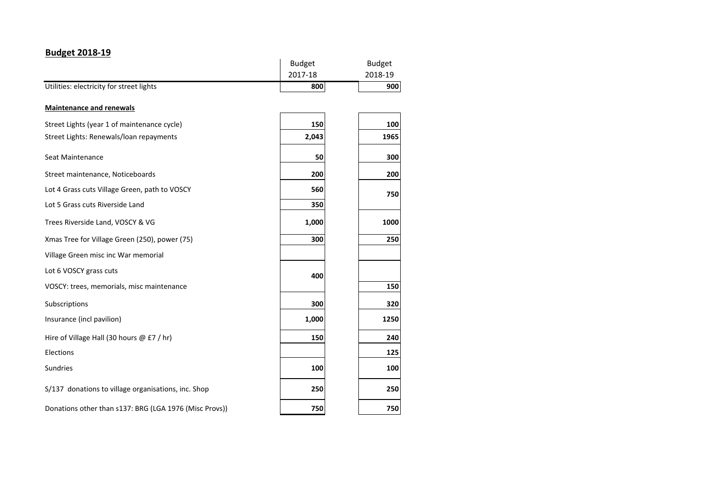## **Budget 2018-19**

|                                                        | <b>Budget</b> | <b>Budget</b> |
|--------------------------------------------------------|---------------|---------------|
|                                                        | 2017-18       | 2018-19       |
| Utilities: electricity for street lights               | 800           | 900           |
| <b>Maintenance and renewals</b>                        |               |               |
| Street Lights (year 1 of maintenance cycle)            | 150           | 100           |
| Street Lights: Renewals/loan repayments                | 2,043         | 1965          |
| Seat Maintenance                                       | 50            | 300           |
| Street maintenance, Noticeboards                       | 200           | 200           |
| Lot 4 Grass cuts Village Green, path to VOSCY          | 560           | 750           |
| Lot 5 Grass cuts Riverside Land                        | 350           |               |
| Trees Riverside Land, VOSCY & VG                       | 1,000         | 1000          |
| Xmas Tree for Village Green (250), power (75)          | 300           | 250           |
| Village Green misc inc War memorial                    |               |               |
| Lot 6 VOSCY grass cuts                                 | 400           |               |
| VOSCY: trees, memorials, misc maintenance              |               | 150           |
| Subscriptions                                          | 300           | 320           |
| Insurance (incl pavilion)                              | 1,000         | 1250          |
| Hire of Village Hall (30 hours $@E7$ / hr)             | 150           | 240           |
| Elections                                              |               | 125           |
| <b>Sundries</b>                                        | 100           | 100           |
| S/137 donations to village organisations, inc. Shop    | 250           | 250           |
| Donations other than s137: BRG (LGA 1976 (Misc Provs)) | 750           | 750           |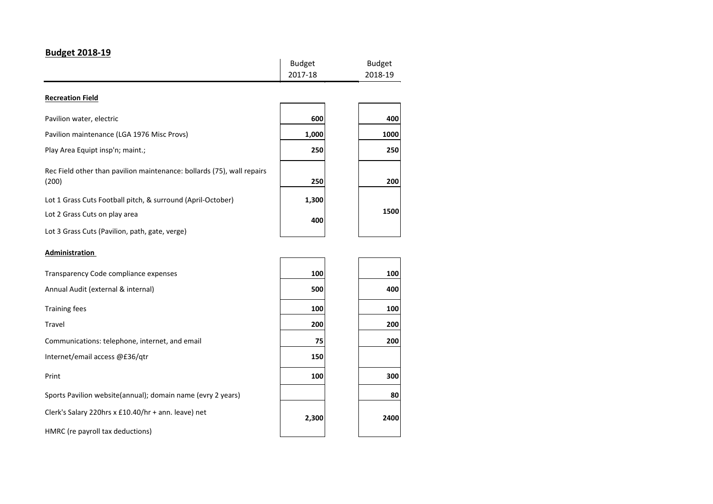## **Budget 2018-19**

|                                                                                 | <b>Budget</b><br>2017-18 | <b>Budget</b><br>2018-19 |
|---------------------------------------------------------------------------------|--------------------------|--------------------------|
| <b>Recreation Field</b>                                                         |                          |                          |
| Pavilion water, electric                                                        | 600                      | 400                      |
| Pavilion maintenance (LGA 1976 Misc Provs)                                      | 1,000                    | 1000                     |
| Play Area Equipt insp'n; maint.;                                                | 250                      | 250                      |
| Rec Field other than pavilion maintenance: bollards (75), wall repairs<br>(200) | 250                      | 200                      |
| Lot 1 Grass Cuts Football pitch, & surround (April-October)                     | 1,300                    |                          |
| Lot 2 Grass Cuts on play area                                                   | 400                      | 1500                     |
| Lot 3 Grass Cuts (Pavilion, path, gate, verge)                                  |                          |                          |
| Administration                                                                  |                          |                          |

## Transparency Code compliance expenses **100 100 100 100** Annual Audit (external & internal) **500 400 100 100 100 100 100 100** Travel **200 200** Communications: telephone, internet, and email **75 200** Internet/email access @£36/qtr **150 150** Print **100 300** Sports Pavilion website(annual); domain name (evry 2 years) **80** Clerk's Salary 220hrs x £10.40/hr + ann. leave) net HMRC (re payroll tax deductions) **2400 2,300**